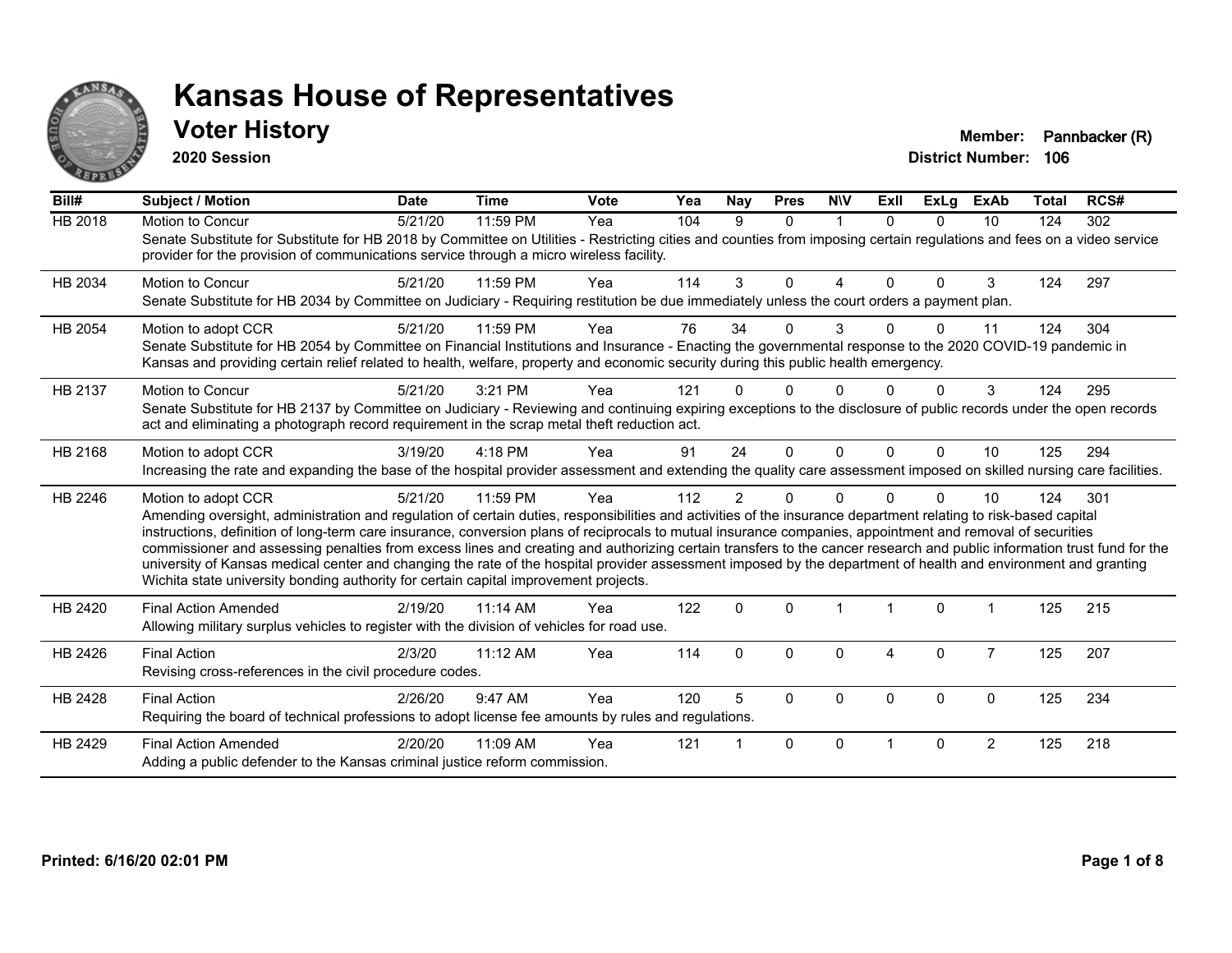

**2020 Session**

**Voter History Member: Pannbacker (R)** 

| Bill#          | <b>Subject / Motion</b>                                                                                                                                                                                                                                                                                                                                                                                                                                                                                                                                                                                                                                                                                                                                                                  | <b>Date</b> | <b>Time</b> | Vote | Yea | <b>Nay</b>     | <b>Pres</b>  | <b>NIV</b>  | ExII         | ExLg     | <b>ExAb</b>    | <b>Total</b> | RCS# |
|----------------|------------------------------------------------------------------------------------------------------------------------------------------------------------------------------------------------------------------------------------------------------------------------------------------------------------------------------------------------------------------------------------------------------------------------------------------------------------------------------------------------------------------------------------------------------------------------------------------------------------------------------------------------------------------------------------------------------------------------------------------------------------------------------------------|-------------|-------------|------|-----|----------------|--------------|-------------|--------------|----------|----------------|--------------|------|
| <b>HB 2018</b> | Motion to Concur<br>Senate Substitute for Substitute for HB 2018 by Committee on Utilities - Restricting cities and counties from imposing certain regulations and fees on a video service<br>provider for the provision of communications service through a micro wireless facility.                                                                                                                                                                                                                                                                                                                                                                                                                                                                                                    | 5/21/20     | 11:59 PM    | Yea  | 104 | 9              | $\Omega$     | $\mathbf 1$ | $\Omega$     | $\Omega$ | 10             | 124          | 302  |
| HB 2034        | <b>Motion to Concur</b><br>Senate Substitute for HB 2034 by Committee on Judiciary - Requiring restitution be due immediately unless the court orders a payment plan.                                                                                                                                                                                                                                                                                                                                                                                                                                                                                                                                                                                                                    | 5/21/20     | 11:59 PM    | Yea  | 114 | 3              | $\Omega$     | 4           | $\Omega$     | $\Omega$ | 3              | 124          | 297  |
| HB 2054        | Motion to adopt CCR<br>Senate Substitute for HB 2054 by Committee on Financial Institutions and Insurance - Enacting the governmental response to the 2020 COVID-19 pandemic in<br>Kansas and providing certain relief related to health, welfare, property and economic security during this public health emergency.                                                                                                                                                                                                                                                                                                                                                                                                                                                                   | 5/21/20     | 11:59 PM    | Yea  | 76  | 34             | $\Omega$     | 3           | <sup>n</sup> | 0        | 11             | 124          | 304  |
| HB 2137        | Motion to Concur<br>Senate Substitute for HB 2137 by Committee on Judiciary - Reviewing and continuing expiring exceptions to the disclosure of public records under the open records<br>act and eliminating a photograph record requirement in the scrap metal theft reduction act.                                                                                                                                                                                                                                                                                                                                                                                                                                                                                                     | 5/21/20     | 3:21 PM     | Yea  | 121 |                | <sup>n</sup> |             |              |          | 3              | 124          | 295  |
| HB 2168        | Motion to adopt CCR<br>Increasing the rate and expanding the base of the hospital provider assessment and extending the quality care assessment imposed on skilled nursing care facilities.                                                                                                                                                                                                                                                                                                                                                                                                                                                                                                                                                                                              | 3/19/20     | 4:18 PM     | Yea  | 91  | 24             | $\Omega$     | $\Omega$    | 0            | $\Omega$ | 10             | 125          | 294  |
| HB 2246        | Motion to adopt CCR<br>Amending oversight, administration and regulation of certain duties, responsibilities and activities of the insurance department relating to risk-based capital<br>instructions, definition of long-term care insurance, conversion plans of reciprocals to mutual insurance companies, appointment and removal of securities<br>commissioner and assessing penalties from excess lines and creating and authorizing certain transfers to the cancer research and public information trust fund for the<br>university of Kansas medical center and changing the rate of the hospital provider assessment imposed by the department of health and environment and granting<br>Wichita state university bonding authority for certain capital improvement projects. | 5/21/20     | 11:59 PM    | Yea  | 112 | $\overline{2}$ | $\Omega$     | $\Omega$    |              | $\Omega$ | 10             | 124          | 301  |
| HB 2420        | <b>Final Action Amended</b><br>Allowing military surplus vehicles to register with the division of vehicles for road use.                                                                                                                                                                                                                                                                                                                                                                                                                                                                                                                                                                                                                                                                | 2/19/20     | $11:14$ AM  | Yea  | 122 | $\mathbf 0$    | $\Omega$     |             | -1           | 0        |                | 125          | 215  |
| HB 2426        | <b>Final Action</b><br>Revising cross-references in the civil procedure codes.                                                                                                                                                                                                                                                                                                                                                                                                                                                                                                                                                                                                                                                                                                           | 2/3/20      | 11:12 AM    | Yea  | 114 | $\mathbf{0}$   | $\Omega$     | 0           | 4            | $\Omega$ | $\overline{7}$ | 125          | 207  |
| HB 2428        | <b>Final Action</b><br>Requiring the board of technical professions to adopt license fee amounts by rules and regulations.                                                                                                                                                                                                                                                                                                                                                                                                                                                                                                                                                                                                                                                               | 2/26/20     | 9:47 AM     | Yea  | 120 | 5              | $\Omega$     | $\Omega$    | $\Omega$     | 0        | $\mathbf 0$    | 125          | 234  |
| HB 2429        | <b>Final Action Amended</b><br>Adding a public defender to the Kansas criminal justice reform commission.                                                                                                                                                                                                                                                                                                                                                                                                                                                                                                                                                                                                                                                                                | 2/20/20     | 11:09 AM    | Yea  | 121 |                | $\Omega$     | $\Omega$    |              | $\Omega$ | $\overline{2}$ | 125          | 218  |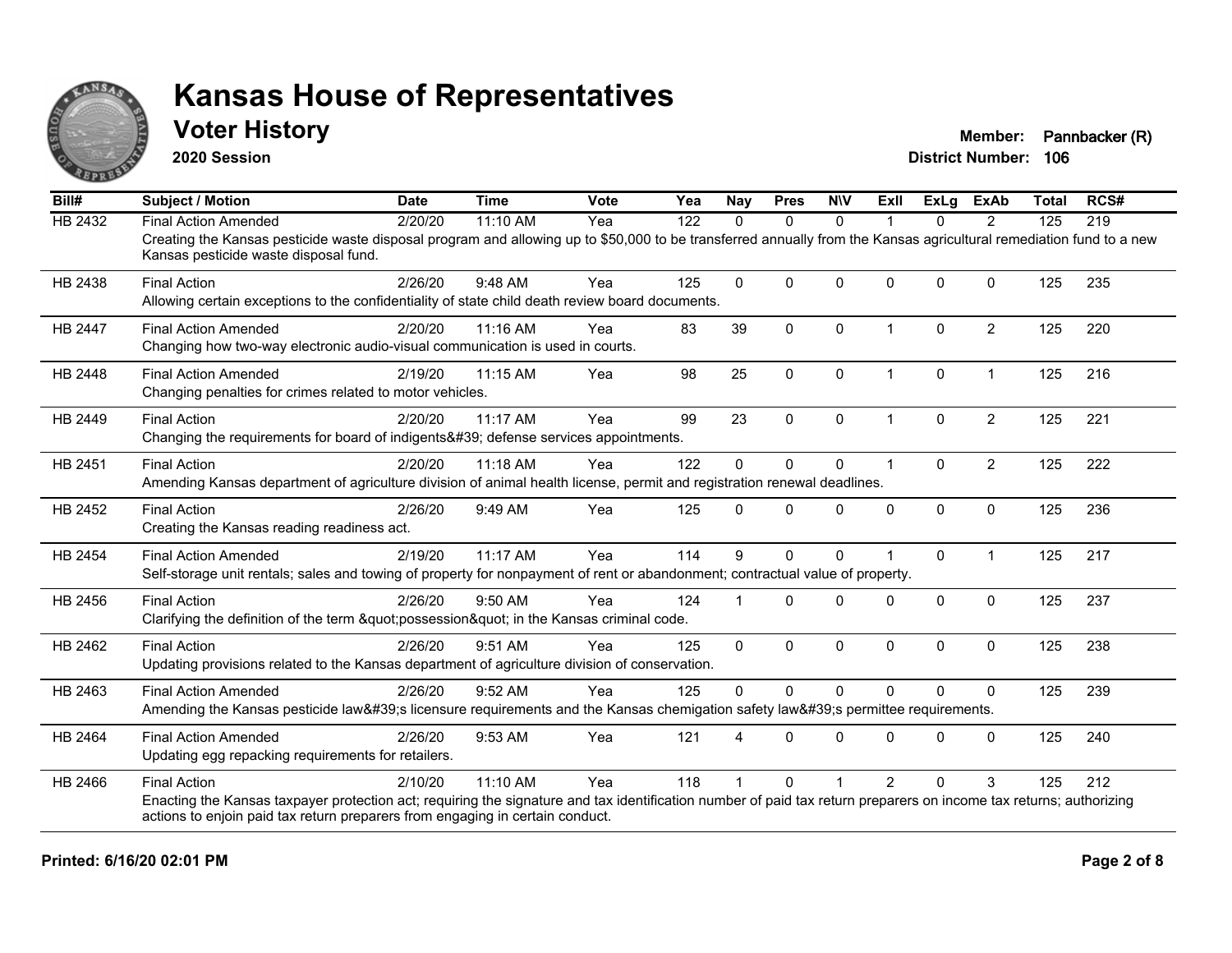

**2020 Session**

**Voter History Member: Pannbacker (R)** 

| Bill#          | <b>Subject / Motion</b>                                                                                                                                                                                     | <b>Date</b> | <b>Time</b> | <b>Vote</b> | Yea | <b>Nay</b>   | <b>Pres</b>  | <b>NIV</b>  | Exll                 | <b>ExLg</b> | <b>ExAb</b>    | <b>Total</b> | RCS# |
|----------------|-------------------------------------------------------------------------------------------------------------------------------------------------------------------------------------------------------------|-------------|-------------|-------------|-----|--------------|--------------|-------------|----------------------|-------------|----------------|--------------|------|
| HB 2432        | <b>Final Action Amended</b>                                                                                                                                                                                 | 2/20/20     | 11:10 AM    | Yea         | 122 | $\Omega$     | $\mathbf{0}$ | $\Omega$    |                      | $\Omega$    | 2              | 125          | 219  |
|                | Creating the Kansas pesticide waste disposal program and allowing up to \$50,000 to be transferred annually from the Kansas agricultural remediation fund to a new<br>Kansas pesticide waste disposal fund. |             |             |             |     |              |              |             |                      |             |                |              |      |
| HB 2438        | <b>Final Action</b>                                                                                                                                                                                         | 2/26/20     | 9:48 AM     | Yea         | 125 | $\Omega$     | $\mathbf{0}$ | $\Omega$    | $\Omega$             | $\Omega$    | $\mathbf 0$    | 125          | 235  |
|                | Allowing certain exceptions to the confidentiality of state child death review board documents.                                                                                                             |             |             |             |     |              |              |             |                      |             |                |              |      |
| <b>HB 2447</b> | <b>Final Action Amended</b>                                                                                                                                                                                 | 2/20/20     | 11:16 AM    | Yea         | 83  | 39           | $\mathbf{0}$ | $\Omega$    | $\blacktriangleleft$ | $\Omega$    | $\overline{2}$ | 125          | 220  |
|                | Changing how two-way electronic audio-visual communication is used in courts.                                                                                                                               |             |             |             |     |              |              |             |                      |             |                |              |      |
| HB 2448        | <b>Final Action Amended</b>                                                                                                                                                                                 | 2/19/20     | 11:15 AM    | Yea         | 98  | 25           | 0            | $\mathbf 0$ | $\mathbf 1$          | 0           | $\mathbf{1}$   | 125          | 216  |
|                | Changing penalties for crimes related to motor vehicles.                                                                                                                                                    |             |             |             |     |              |              |             |                      |             |                |              |      |
| HB 2449        | <b>Final Action</b>                                                                                                                                                                                         | 2/20/20     | 11:17 AM    | Yea         | 99  | 23           | $\mathbf{0}$ | $\Omega$    | $\overline{1}$       | $\Omega$    | $\overline{2}$ | 125          | 221  |
|                | Changing the requirements for board of indigents' defense services appointments.                                                                                                                            |             |             |             |     |              |              |             |                      |             |                |              |      |
| HB 2451        | <b>Final Action</b>                                                                                                                                                                                         | 2/20/20     | 11:18 AM    | Yea         | 122 | $\Omega$     | $\mathbf 0$  | 0           | $\overline{1}$       | $\Omega$    | $\overline{2}$ | 125          | 222  |
|                | Amending Kansas department of agriculture division of animal health license, permit and registration renewal deadlines.                                                                                     |             |             |             |     |              |              |             |                      |             |                |              |      |
| HB 2452        | <b>Final Action</b>                                                                                                                                                                                         | 2/26/20     | 9:49 AM     | Yea         | 125 | $\Omega$     | $\Omega$     | $\Omega$    | $\Omega$             | $\mathbf 0$ | $\mathbf 0$    | 125          | 236  |
|                | Creating the Kansas reading readiness act.                                                                                                                                                                  |             |             |             |     |              |              |             |                      |             |                |              |      |
| HB 2454        | <b>Final Action Amended</b>                                                                                                                                                                                 | 2/19/20     | 11:17 AM    | Yea         | 114 | 9            | $\mathbf{0}$ | $\Omega$    |                      | $\Omega$    | $\mathbf{1}$   | 125          | 217  |
|                | Self-storage unit rentals; sales and towing of property for nonpayment of rent or abandonment; contractual value of property.                                                                               |             |             |             |     |              |              |             |                      |             |                |              |      |
| HB 2456        | <b>Final Action</b>                                                                                                                                                                                         | 2/26/20     | 9:50 AM     | Yea         | 124 |              | $\Omega$     | $\Omega$    | $\Omega$             | $\Omega$    | $\mathbf{0}$   | 125          | 237  |
|                | Clarifying the definition of the term "possession" in the Kansas criminal code.                                                                                                                             |             |             |             |     |              |              |             |                      |             |                |              |      |
| HB 2462        | <b>Final Action</b>                                                                                                                                                                                         | 2/26/20     | 9:51 AM     | Yea         | 125 | $\mathbf{0}$ | $\mathbf 0$  | $\Omega$    | $\mathbf{0}$         | $\Omega$    | $\mathbf 0$    | 125          | 238  |
|                | Updating provisions related to the Kansas department of agriculture division of conservation.                                                                                                               |             |             |             |     |              |              |             |                      |             |                |              |      |
| HB 2463        | <b>Final Action Amended</b>                                                                                                                                                                                 | 2/26/20     | 9:52 AM     | Yea         | 125 | $\mathbf{0}$ | $\mathbf{0}$ | $\Omega$    | $\Omega$             | $\Omega$    | $\mathbf{0}$   | 125          | 239  |
|                | Amending the Kansas pesticide law's licensure requirements and the Kansas chemigation safety law's permittee requirements.                                                                                  |             |             |             |     |              |              |             |                      |             |                |              |      |
| HB 2464        | <b>Final Action Amended</b>                                                                                                                                                                                 | 2/26/20     | 9:53 AM     | Yea         | 121 |              | $\Omega$     | $\Omega$    | $\Omega$             | $\Omega$    | $\Omega$       | 125          | 240  |
|                | Updating egg repacking requirements for retailers.                                                                                                                                                          |             |             |             |     |              |              |             |                      |             |                |              |      |
| HB 2466        | <b>Final Action</b>                                                                                                                                                                                         | 2/10/20     | 11:10 AM    | Yea         | 118 |              | $\Omega$     |             | $\overline{2}$       | $\Omega$    | 3              | 125          | 212  |
|                | Enacting the Kansas taxpayer protection act; requiring the signature and tax identification number of paid tax return preparers on income tax returns; authorizing                                          |             |             |             |     |              |              |             |                      |             |                |              |      |
|                | actions to enjoin paid tax return preparers from engaging in certain conduct.                                                                                                                               |             |             |             |     |              |              |             |                      |             |                |              |      |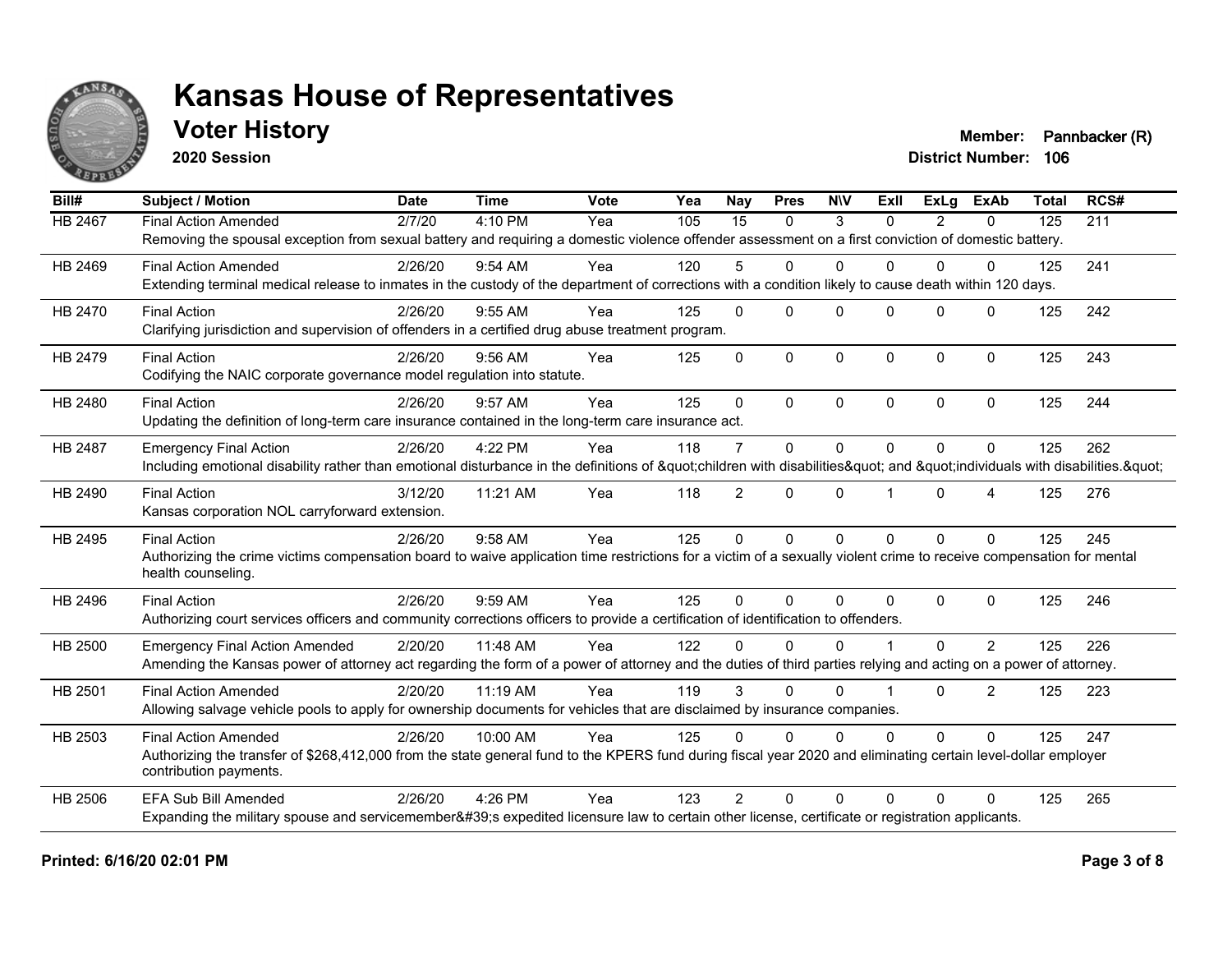

**2020 Session**

**Voter History Member: Pannbacker (R)** 

| Bill#          | <b>Subject / Motion</b>                                                                                                                                             | <b>Date</b> | <b>Time</b> | Vote | Yea | <b>Nay</b>      | <b>Pres</b>  | <b>NIV</b>   | ExII                 | ExLa     | <b>ExAb</b>    | <b>Total</b> | RCS# |
|----------------|---------------------------------------------------------------------------------------------------------------------------------------------------------------------|-------------|-------------|------|-----|-----------------|--------------|--------------|----------------------|----------|----------------|--------------|------|
| <b>HB 2467</b> | <b>Final Action Amended</b>                                                                                                                                         | 2/7/20      | 4:10 PM     | Yea  | 105 | $\overline{15}$ | $\mathbf{0}$ | 3            | $\Omega$             | 2        | $\mathbf{0}$   | 125          | 211  |
|                | Removing the spousal exception from sexual battery and requiring a domestic violence offender assessment on a first conviction of domestic battery.                 |             |             |      |     |                 |              |              |                      |          |                |              |      |
| HB 2469        | <b>Final Action Amended</b>                                                                                                                                         | 2/26/20     | $9:54$ AM   | Yea  | 120 | 5               | $\mathbf{0}$ | $\Omega$     | 0                    | $\Omega$ | $\mathbf{0}$   | 125          | 241  |
|                | Extending terminal medical release to inmates in the custody of the department of corrections with a condition likely to cause death within 120 days.               |             |             |      |     |                 |              |              |                      |          |                |              |      |
| HB 2470        | <b>Final Action</b>                                                                                                                                                 | 2/26/20     | $9:55$ AM   | Yea  | 125 | $\Omega$        | $\Omega$     | $\Omega$     | $\Omega$             | $\Omega$ | $\Omega$       | 125          | 242  |
|                | Clarifying jurisdiction and supervision of offenders in a certified drug abuse treatment program.                                                                   |             |             |      |     |                 |              |              |                      |          |                |              |      |
| HB 2479        | <b>Final Action</b>                                                                                                                                                 | 2/26/20     | $9:56$ AM   | Yea  | 125 | $\mathbf{0}$    | $\Omega$     | $\mathbf 0$  | $\Omega$             | $\Omega$ | $\mathbf{0}$   | 125          | 243  |
|                | Codifying the NAIC corporate governance model regulation into statute.                                                                                              |             |             |      |     |                 |              |              |                      |          |                |              |      |
| HB 2480        | <b>Final Action</b>                                                                                                                                                 | 2/26/20     | 9:57 AM     | Yea  | 125 | $\Omega$        | $\Omega$     | $\mathbf{0}$ | $\Omega$             | $\Omega$ | $\mathbf{0}$   | 125          | 244  |
|                | Updating the definition of long-term care insurance contained in the long-term care insurance act.                                                                  |             |             |      |     |                 |              |              |                      |          |                |              |      |
| <b>HB 2487</b> | <b>Emergency Final Action</b>                                                                                                                                       | 2/26/20     | 4:22 PM     | Yea  | 118 | $\overline{7}$  | $\Omega$     | $\mathbf{0}$ | $\overline{0}$       | $\Omega$ | $\Omega$       | 125          | 262  |
|                | Including emotional disability rather than emotional disturbance in the definitions of "children with disabilities" and "individuals with disabilities. "           |             |             |      |     |                 |              |              |                      |          |                |              |      |
| HB 2490        | <b>Final Action</b>                                                                                                                                                 | 3/12/20     | 11:21 AM    | Yea  | 118 | $\overline{2}$  | $\Omega$     | $\mathbf{0}$ |                      | $\Omega$ | 4              | 125          | 276  |
|                | Kansas corporation NOL carryforward extension.                                                                                                                      |             |             |      |     |                 |              |              |                      |          |                |              |      |
| HB 2495        | <b>Final Action</b>                                                                                                                                                 | 2/26/20     | 9:58 AM     | Yea  | 125 | $\Omega$        | $\Omega$     | $\Omega$     | $\Omega$             | $\Omega$ | $\Omega$       | 125          | 245  |
|                | Authorizing the crime victims compensation board to waive application time restrictions for a victim of a sexually violent crime to receive compensation for mental |             |             |      |     |                 |              |              |                      |          |                |              |      |
|                | health counseling.                                                                                                                                                  |             |             |      |     |                 |              |              |                      |          |                |              |      |
| HB 2496        | <b>Final Action</b>                                                                                                                                                 | 2/26/20     | 9:59 AM     | Yea  | 125 | $\Omega$        | $\Omega$     | $\Omega$     | $\Omega$             | $\Omega$ | $\Omega$       | 125          | 246  |
|                | Authorizing court services officers and community corrections officers to provide a certification of identification to offenders.                                   |             |             |      |     |                 |              |              |                      |          |                |              |      |
| HB 2500        | <b>Emergency Final Action Amended</b>                                                                                                                               | 2/20/20     | 11:48 AM    | Yea  | 122 | 0               | $\Omega$     | $\Omega$     |                      | 0        | $\overline{2}$ | 125          | 226  |
|                | Amending the Kansas power of attorney act regarding the form of a power of attorney and the duties of third parties relying and acting on a power of attorney.      |             |             |      |     |                 |              |              |                      |          |                |              |      |
| HB 2501        | <b>Final Action Amended</b>                                                                                                                                         | 2/20/20     | 11:19 AM    | Yea  | 119 | 3               | $\Omega$     | $\Omega$     | $\blacktriangleleft$ | $\Omega$ | $\overline{2}$ | 125          | 223  |
|                | Allowing salvage vehicle pools to apply for ownership documents for vehicles that are disclaimed by insurance companies.                                            |             |             |      |     |                 |              |              |                      |          |                |              |      |
| HB 2503        | <b>Final Action Amended</b>                                                                                                                                         | 2/26/20     | 10:00 AM    | Yea  | 125 | $\Omega$        | $\Omega$     | $\Omega$     | $\Omega$             | $\Omega$ | $\Omega$       | 125          | 247  |
|                | Authorizing the transfer of \$268,412,000 from the state general fund to the KPERS fund during fiscal year 2020 and eliminating certain level-dollar employer       |             |             |      |     |                 |              |              |                      |          |                |              |      |
|                | contribution payments.                                                                                                                                              |             |             |      |     |                 |              |              |                      |          |                |              |      |
| <b>HB 2506</b> | <b>EFA Sub Bill Amended</b>                                                                                                                                         | 2/26/20     | 4:26 PM     | Yea  | 123 | $\mathfrak{p}$  | $\Omega$     | $\Omega$     | 0                    | $\Omega$ | $\Omega$       | 125          | 265  |
|                | Expanding the military spouse and servicemember's expedited licensure law to certain other license, certificate or registration applicants.                         |             |             |      |     |                 |              |              |                      |          |                |              |      |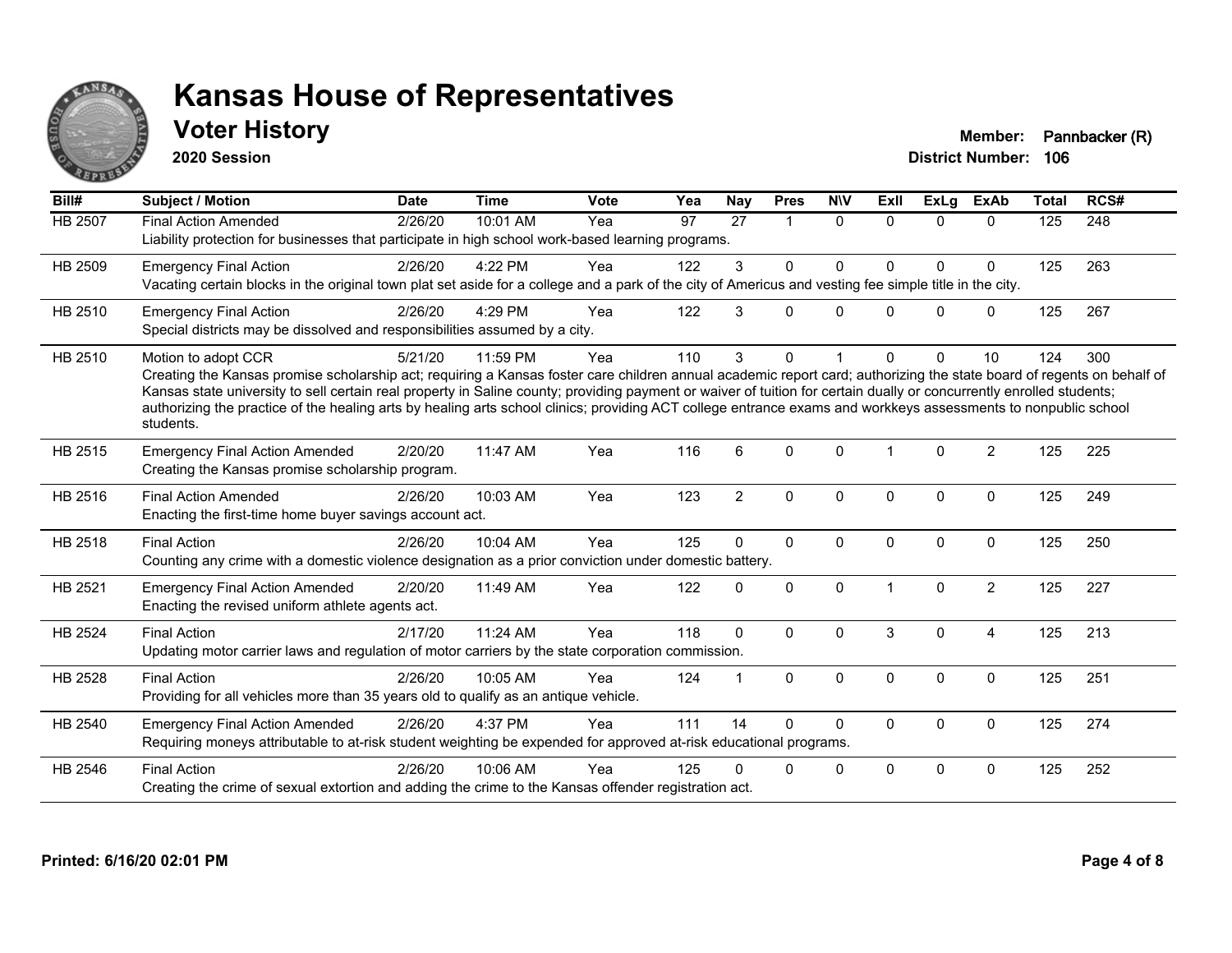

**2020 Session**

**Voter History Member: Pannbacker (R)** 

| Bill#          | <b>Subject / Motion</b>                                                                                                                                                                                                                                                                                                                                                                                                                                                                                                                             | <b>Date</b> | <b>Time</b> | <b>Vote</b> | Yea | <b>Nay</b>      | <b>Pres</b>    | <b>NIV</b>   | ExII         | <b>ExLg</b>  | <b>ExAb</b>    | <b>Total</b>     | RCS# |
|----------------|-----------------------------------------------------------------------------------------------------------------------------------------------------------------------------------------------------------------------------------------------------------------------------------------------------------------------------------------------------------------------------------------------------------------------------------------------------------------------------------------------------------------------------------------------------|-------------|-------------|-------------|-----|-----------------|----------------|--------------|--------------|--------------|----------------|------------------|------|
| <b>HB 2507</b> | <b>Final Action Amended</b><br>Liability protection for businesses that participate in high school work-based learning programs.                                                                                                                                                                                                                                                                                                                                                                                                                    | 2/26/20     | 10:01 AM    | Yea         | 97  | $\overline{27}$ | $\overline{1}$ | $\Omega$     | $\Omega$     | $\Omega$     | $\Omega$       | $\overline{125}$ | 248  |
| HB 2509        | <b>Emergency Final Action</b><br>Vacating certain blocks in the original town plat set aside for a college and a park of the city of Americus and vesting fee simple title in the city.                                                                                                                                                                                                                                                                                                                                                             | 2/26/20     | 4:22 PM     | Yea         | 122 | 3               | $\Omega$       | 0            | <sup>0</sup> | $\Omega$     | $\mathbf 0$    | 125              | 263  |
| HB 2510        | <b>Emergency Final Action</b><br>Special districts may be dissolved and responsibilities assumed by a city.                                                                                                                                                                                                                                                                                                                                                                                                                                         | 2/26/20     | 4:29 PM     | Yea         | 122 | 3               | 0              | $\mathbf{0}$ | $\Omega$     | $\mathbf{0}$ | 0              | 125              | 267  |
| HB 2510        | Motion to adopt CCR<br>Creating the Kansas promise scholarship act; requiring a Kansas foster care children annual academic report card; authorizing the state board of regents on behalf of<br>Kansas state university to sell certain real property in Saline county; providing payment or waiver of tuition for certain dually or concurrently enrolled students;<br>authorizing the practice of the healing arts by healing arts school clinics; providing ACT college entrance exams and workkeys assessments to nonpublic school<br>students. | 5/21/20     | 11:59 PM    | Yea         | 110 | 3               | 0              |              | <sup>0</sup> | $\Omega$     | 10             | 124              | 300  |
| HB 2515        | <b>Emergency Final Action Amended</b><br>Creating the Kansas promise scholarship program.                                                                                                                                                                                                                                                                                                                                                                                                                                                           | 2/20/20     | 11:47 AM    | Yea         | 116 | 6               | $\Omega$       | $\Omega$     |              | $\Omega$     | 2              | 125              | 225  |
| HB 2516        | <b>Final Action Amended</b><br>Enacting the first-time home buyer savings account act.                                                                                                                                                                                                                                                                                                                                                                                                                                                              | 2/26/20     | 10:03 AM    | Yea         | 123 | $\overline{2}$  | $\mathbf{0}$   | $\Omega$     | $\Omega$     | $\mathbf{0}$ | $\mathbf 0$    | 125              | 249  |
| HB 2518        | <b>Final Action</b><br>Counting any crime with a domestic violence designation as a prior conviction under domestic battery.                                                                                                                                                                                                                                                                                                                                                                                                                        | 2/26/20     | 10:04 AM    | Yea         | 125 | $\Omega$        | $\mathbf{0}$   | $\Omega$     | $\Omega$     | $\mathbf{0}$ | $\Omega$       | 125              | 250  |
| HB 2521        | <b>Emergency Final Action Amended</b><br>Enacting the revised uniform athlete agents act.                                                                                                                                                                                                                                                                                                                                                                                                                                                           | 2/20/20     | 11:49 AM    | Yea         | 122 | $\Omega$        | $\mathbf 0$    | 0            |              | $\mathbf 0$  | $\overline{2}$ | 125              | 227  |
| <b>HB 2524</b> | <b>Final Action</b><br>Updating motor carrier laws and regulation of motor carriers by the state corporation commission.                                                                                                                                                                                                                                                                                                                                                                                                                            | 2/17/20     | 11:24 AM    | Yea         | 118 | $\Omega$        | $\Omega$       | $\mathbf{0}$ | 3            | $\Omega$     | $\overline{4}$ | 125              | 213  |
| <b>HB 2528</b> | <b>Final Action</b><br>Providing for all vehicles more than 35 years old to qualify as an antique vehicle.                                                                                                                                                                                                                                                                                                                                                                                                                                          | 2/26/20     | 10:05 AM    | Yea         | 124 |                 | $\mathbf{0}$   | $\mathbf{0}$ | $\Omega$     | $\mathbf{0}$ | $\mathbf{0}$   | 125              | 251  |
| HB 2540        | <b>Emergency Final Action Amended</b><br>Requiring moneys attributable to at-risk student weighting be expended for approved at-risk educational programs.                                                                                                                                                                                                                                                                                                                                                                                          | 2/26/20     | 4:37 PM     | Yea         | 111 | 14              | $\Omega$       | 0            | $\Omega$     | $\mathbf 0$  | $\mathbf 0$    | 125              | 274  |
| HB 2546        | <b>Final Action</b><br>Creating the crime of sexual extortion and adding the crime to the Kansas offender registration act.                                                                                                                                                                                                                                                                                                                                                                                                                         | 2/26/20     | 10:06 AM    | Yea         | 125 | U               | 0              | 0            | $\Omega$     | $\Omega$     | $\mathbf 0$    | 125              | 252  |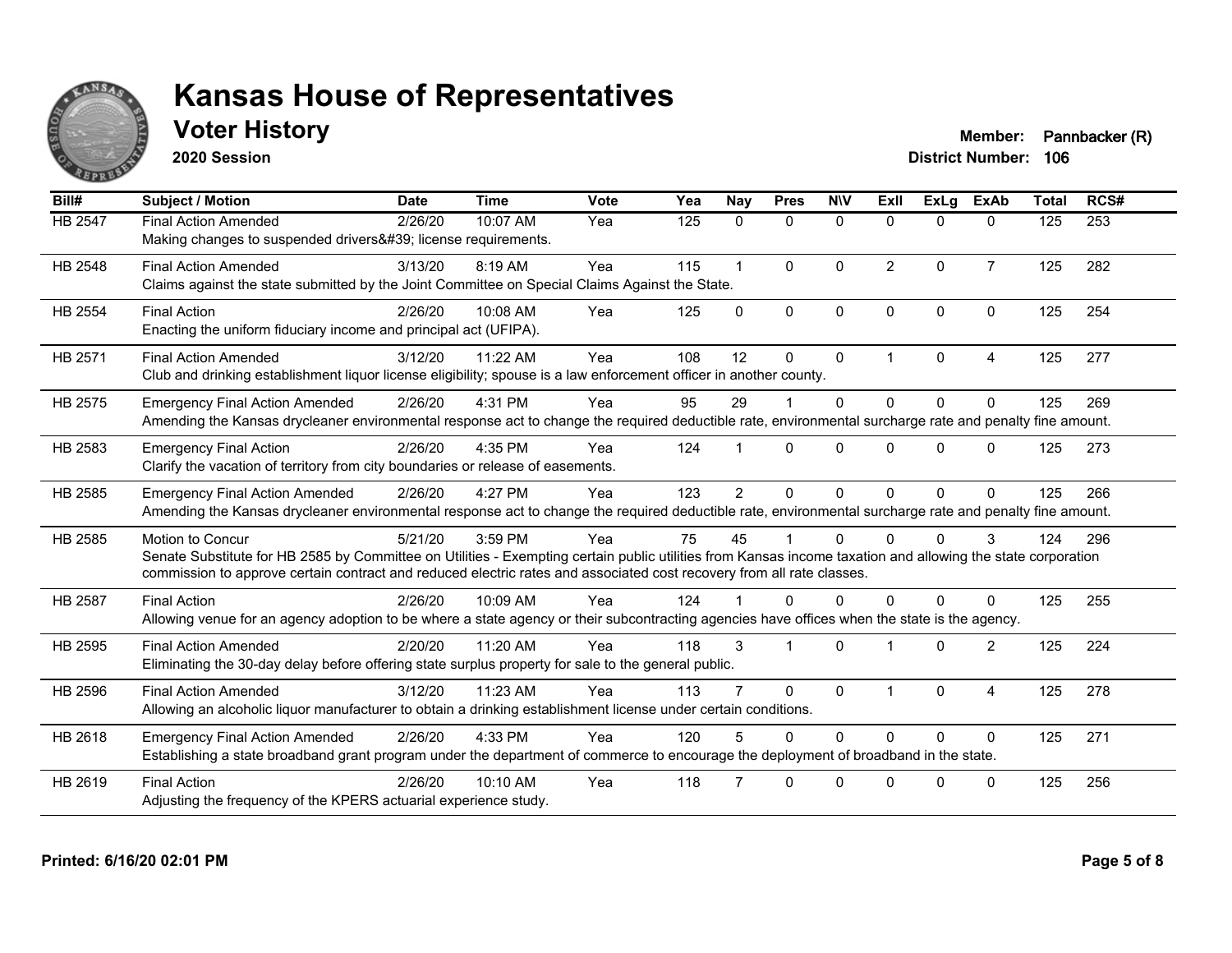

**2020 Session**

**Voter History Member: Pannbacker (R)** 

| Bill#          | <b>Subject / Motion</b>                                                                                                                                                                                                                                                                                  | <b>Date</b> | <b>Time</b> | Vote | Yea | Nay            | <b>Pres</b>             | <b>NIV</b>   | ExII                 | ExLa         | <b>ExAb</b>    | <b>Total</b> | RCS# |
|----------------|----------------------------------------------------------------------------------------------------------------------------------------------------------------------------------------------------------------------------------------------------------------------------------------------------------|-------------|-------------|------|-----|----------------|-------------------------|--------------|----------------------|--------------|----------------|--------------|------|
| HB 2547        | <b>Final Action Amended</b><br>Making changes to suspended drivers' license requirements.                                                                                                                                                                                                                | 2/26/20     | 10:07 AM    | Yea  | 125 | 0              | $\mathbf{0}$            | $\Omega$     | $\Omega$             | $\mathbf{0}$ | $\mathbf{0}$   | 125          | 253  |
| HB 2548        | <b>Final Action Amended</b><br>Claims against the state submitted by the Joint Committee on Special Claims Against the State.                                                                                                                                                                            | 3/13/20     | 8:19 AM     | Yea  | 115 | $\mathbf{1}$   | $\Omega$                | $\Omega$     | 2                    | $\Omega$     | $\overline{7}$ | 125          | 282  |
| HB 2554        | <b>Final Action</b><br>Enacting the uniform fiduciary income and principal act (UFIPA).                                                                                                                                                                                                                  | 2/26/20     | 10:08 AM    | Yea  | 125 | $\Omega$       | $\mathbf{0}$            | $\Omega$     | $\Omega$             | $\Omega$     | $\mathbf{0}$   | 125          | 254  |
| HB 2571        | <b>Final Action Amended</b><br>Club and drinking establishment liquor license eligibility; spouse is a law enforcement officer in another county.                                                                                                                                                        | 3/12/20     | 11:22 AM    | Yea  | 108 | 12             | $\Omega$                | $\Omega$     | $\blacktriangleleft$ | $\Omega$     | 4              | 125          | 277  |
| HB 2575        | <b>Emergency Final Action Amended</b><br>Amending the Kansas drycleaner environmental response act to change the required deductible rate, environmental surcharge rate and penalty fine amount.                                                                                                         | 2/26/20     | 4:31 PM     | Yea  | 95  | 29             |                         | $\mathbf 0$  | $\Omega$             | $\Omega$     | $\Omega$       | 125          | 269  |
| HB 2583        | <b>Emergency Final Action</b><br>Clarify the vacation of territory from city boundaries or release of easements.                                                                                                                                                                                         | 2/26/20     | 4:35 PM     | Yea  | 124 |                | $\Omega$                | $\Omega$     | <sup>n</sup>         | $\Omega$     | $\Omega$       | 125          | 273  |
| HB 2585        | <b>Emergency Final Action Amended</b><br>Amending the Kansas drycleaner environmental response act to change the required deductible rate, environmental surcharge rate and penalty fine amount.                                                                                                         | 2/26/20     | 4:27 PM     | Yea  | 123 | $\overline{2}$ | $\Omega$                | $\Omega$     | $\Omega$             | $\Omega$     | $\Omega$       | 125          | 266  |
| HB 2585        | Motion to Concur<br>Senate Substitute for HB 2585 by Committee on Utilities - Exempting certain public utilities from Kansas income taxation and allowing the state corporation<br>commission to approve certain contract and reduced electric rates and associated cost recovery from all rate classes. | 5/21/20     | 3:59 PM     | Yea  | 75  | 45             |                         | $\Omega$     |                      | $\Omega$     | 3              | 124          | 296  |
| <b>HB 2587</b> | <b>Final Action</b><br>Allowing venue for an agency adoption to be where a state agency or their subcontracting agencies have offices when the state is the agency.                                                                                                                                      | 2/26/20     | 10:09 AM    | Yea  | 124 |                | <sup>n</sup>            | <sup>0</sup> | <sup>n</sup>         | 0            | $\Omega$       | 125          | 255  |
| HB 2595        | <b>Final Action Amended</b><br>Eliminating the 30-day delay before offering state surplus property for sale to the general public.                                                                                                                                                                       | 2/20/20     | 11:20 AM    | Yea  | 118 | 3              | $\overline{\mathbf{1}}$ | $\Omega$     |                      | $\Omega$     | 2              | 125          | 224  |
| HB 2596        | <b>Final Action Amended</b><br>Allowing an alcoholic liquor manufacturer to obtain a drinking establishment license under certain conditions.                                                                                                                                                            | 3/12/20     | 11:23 AM    | Yea  | 113 |                | $\Omega$                | $\Omega$     |                      | $\Omega$     | $\overline{4}$ | 125          | 278  |
| HB 2618        | <b>Emergency Final Action Amended</b><br>Establishing a state broadband grant program under the department of commerce to encourage the deployment of broadband in the state.                                                                                                                            | 2/26/20     | 4:33 PM     | Yea  | 120 | 5              | $\Omega$                | 0            | $\Omega$             | $\Omega$     | $\Omega$       | 125          | 271  |
| HB 2619        | <b>Final Action</b><br>Adjusting the frequency of the KPERS actuarial experience study.                                                                                                                                                                                                                  | 2/26/20     | 10:10 AM    | Yea  | 118 |                | $\Omega$                | $\Omega$     | U                    | $\Omega$     | $\Omega$       | 125          | 256  |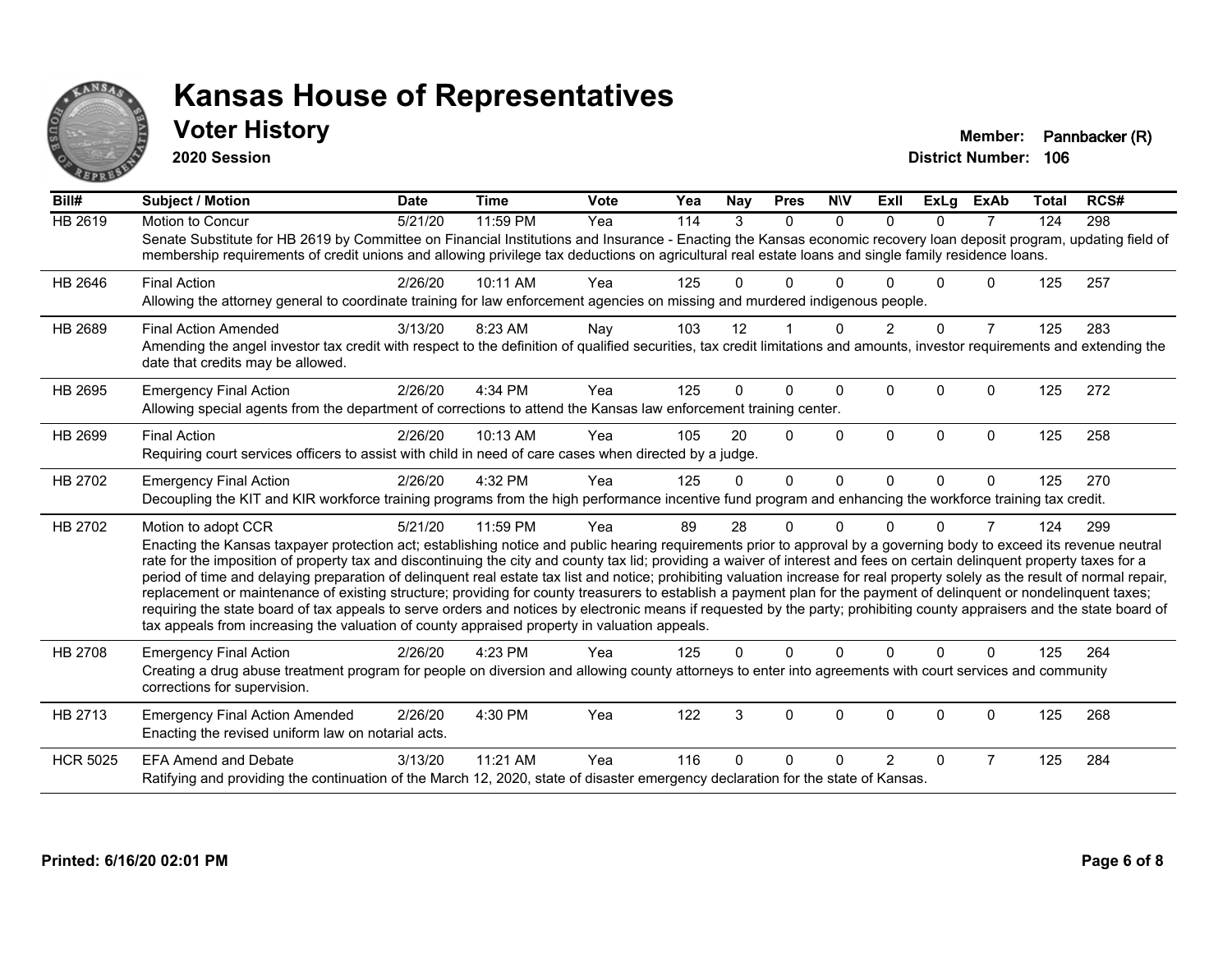

**2020 Session**

**Voter History Member: Pannbacker (R)** 

| Bill#           | <b>Subject / Motion</b>                                                                                                                                                                                                                                                                                                                                                                                                                                                                                                                                                                                                                                                                                                                                                                                                                                                                                                                                                                                       | <b>Date</b> | <b>Time</b> | <b>Vote</b> | Yea | <b>Nay</b> | <b>Pres</b> | <b>NIV</b> | ExII          | <b>ExLg</b>  | <b>ExAb</b>    | <b>Total</b> | RCS# |
|-----------------|---------------------------------------------------------------------------------------------------------------------------------------------------------------------------------------------------------------------------------------------------------------------------------------------------------------------------------------------------------------------------------------------------------------------------------------------------------------------------------------------------------------------------------------------------------------------------------------------------------------------------------------------------------------------------------------------------------------------------------------------------------------------------------------------------------------------------------------------------------------------------------------------------------------------------------------------------------------------------------------------------------------|-------------|-------------|-------------|-----|------------|-------------|------------|---------------|--------------|----------------|--------------|------|
| <b>HB 2619</b>  | Motion to Concur<br>Senate Substitute for HB 2619 by Committee on Financial Institutions and Insurance - Enacting the Kansas economic recovery loan deposit program, updating field of<br>membership requirements of credit unions and allowing privilege tax deductions on agricultural real estate loans and single family residence loans.                                                                                                                                                                                                                                                                                                                                                                                                                                                                                                                                                                                                                                                                 | 5/21/20     | 11:59 PM    | Yea         | 114 | 3          | $\Omega$    | $\Omega$   | $\Omega$      | $\Omega$     | $\overline{7}$ | 124          | 298  |
| HB 2646         | <b>Final Action</b><br>Allowing the attorney general to coordinate training for law enforcement agencies on missing and murdered indigenous people.                                                                                                                                                                                                                                                                                                                                                                                                                                                                                                                                                                                                                                                                                                                                                                                                                                                           | 2/26/20     | 10:11 AM    | Yea         | 125 | U          | 0           |            |               | <sup>n</sup> | 0              | 125          | 257  |
| HB 2689         | <b>Final Action Amended</b><br>Amending the angel investor tax credit with respect to the definition of qualified securities, tax credit limitations and amounts, investor requirements and extending the<br>date that credits may be allowed.                                                                                                                                                                                                                                                                                                                                                                                                                                                                                                                                                                                                                                                                                                                                                                | 3/13/20     | 8:23 AM     | Nay         | 103 | 12         |             | $\Omega$   | $\mathcal{P}$ | $\Omega$     | $\overline{7}$ | 125          | 283  |
| HB 2695         | <b>Emergency Final Action</b><br>Allowing special agents from the department of corrections to attend the Kansas law enforcement training center.                                                                                                                                                                                                                                                                                                                                                                                                                                                                                                                                                                                                                                                                                                                                                                                                                                                             | 2/26/20     | 4:34 PM     | Yea         | 125 | 0          | $\Omega$    | $\Omega$   | 0             | $\Omega$     | $\Omega$       | 125          | 272  |
| HB 2699         | <b>Final Action</b><br>Requiring court services officers to assist with child in need of care cases when directed by a judge.                                                                                                                                                                                                                                                                                                                                                                                                                                                                                                                                                                                                                                                                                                                                                                                                                                                                                 | 2/26/20     | 10:13 AM    | Yea         | 105 | 20         | $\Omega$    | $\Omega$   | $\Omega$      | $\Omega$     | $\Omega$       | 125          | 258  |
| HB 2702         | <b>Emergency Final Action</b><br>Decoupling the KIT and KIR workforce training programs from the high performance incentive fund program and enhancing the workforce training tax credit.                                                                                                                                                                                                                                                                                                                                                                                                                                                                                                                                                                                                                                                                                                                                                                                                                     | 2/26/20     | 4:32 PM     | Yea         | 125 | $\Omega$   | $\Omega$    | $\Omega$   | $\Omega$      | $\Omega$     | $\mathbf{0}$   | 125          | 270  |
| HB 2702         | Motion to adopt CCR<br>Enacting the Kansas taxpayer protection act; establishing notice and public hearing requirements prior to approval by a governing body to exceed its revenue neutral<br>rate for the imposition of property tax and discontinuing the city and county tax lid; providing a waiver of interest and fees on certain delinquent property taxes for a<br>period of time and delaying preparation of delinquent real estate tax list and notice; prohibiting valuation increase for real property solely as the result of normal repair,<br>replacement or maintenance of existing structure; providing for county treasurers to establish a payment plan for the payment of delinquent or nondelinquent taxes;<br>requiring the state board of tax appeals to serve orders and notices by electronic means if requested by the party; prohibiting county appraisers and the state board of<br>tax appeals from increasing the valuation of county appraised property in valuation appeals. | 5/21/20     | 11:59 PM    | Yea         | 89  | 28         | 0           | $\Omega$   | U             | 0            | 7              | 124          | 299  |
| HB 2708         | <b>Emergency Final Action</b><br>Creating a drug abuse treatment program for people on diversion and allowing county attorneys to enter into agreements with court services and community<br>corrections for supervision.                                                                                                                                                                                                                                                                                                                                                                                                                                                                                                                                                                                                                                                                                                                                                                                     | 2/26/20     | 4:23 PM     | Yea         | 125 | 0          | $\Omega$    | $\Omega$   | $\Omega$      | $\Omega$     | $\Omega$       | 125          | 264  |
| HB 2713         | <b>Emergency Final Action Amended</b><br>Enacting the revised uniform law on notarial acts.                                                                                                                                                                                                                                                                                                                                                                                                                                                                                                                                                                                                                                                                                                                                                                                                                                                                                                                   | 2/26/20     | 4:30 PM     | Yea         | 122 | 3          | $\Omega$    | $\Omega$   | $\Omega$      | $\Omega$     | 0              | 125          | 268  |
| <b>HCR 5025</b> | <b>EFA Amend and Debate</b><br>Ratifying and providing the continuation of the March 12, 2020, state of disaster emergency declaration for the state of Kansas.                                                                                                                                                                                                                                                                                                                                                                                                                                                                                                                                                                                                                                                                                                                                                                                                                                               | 3/13/20     | 11:21 AM    | Yea         | 116 | U          | 0           | ∩          | 2             | $\Omega$     | 7              | 125          | 284  |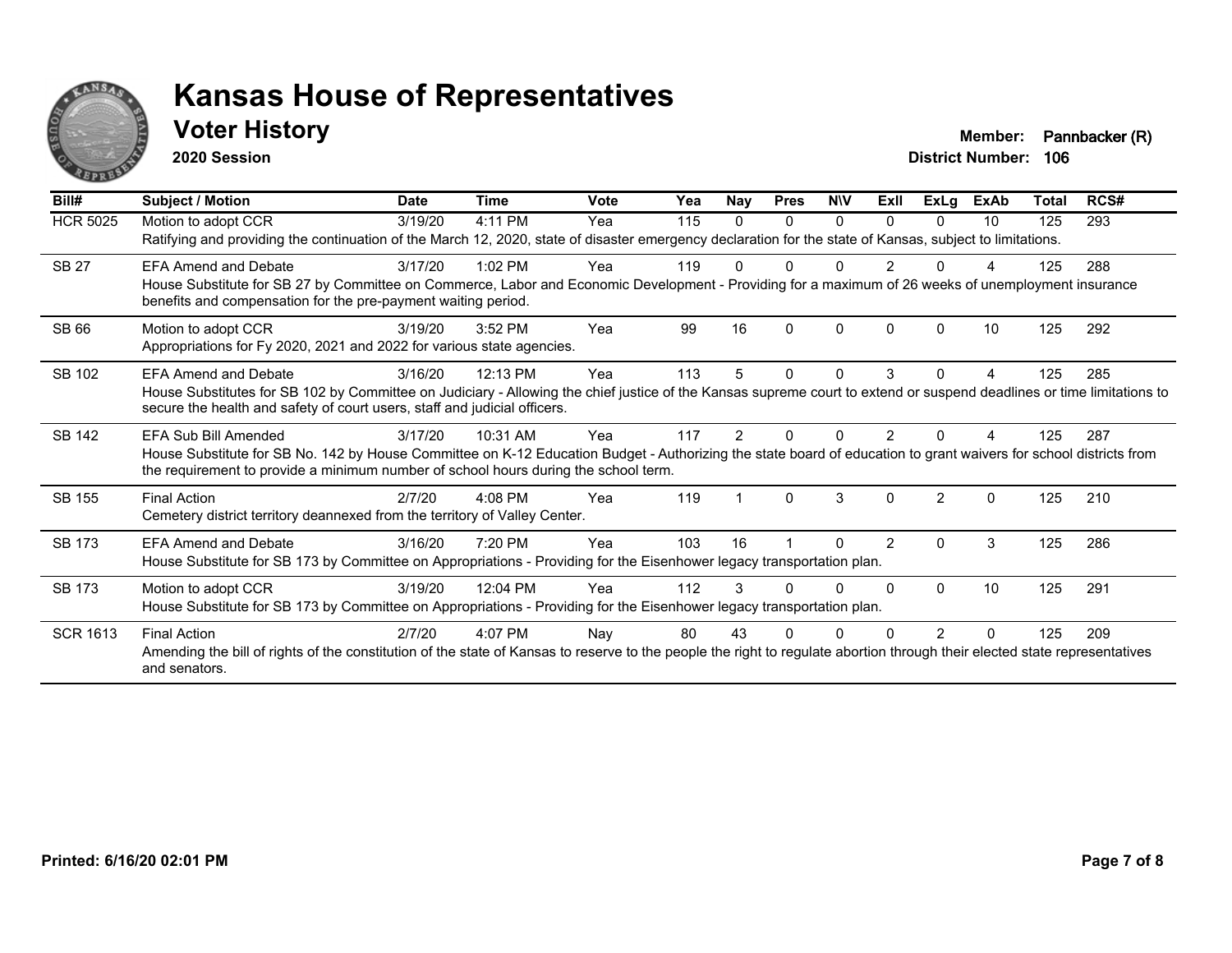

**2020 Session**

**Voter History Member: Pannbacker (R)** 

| Bill#           | <b>Subject / Motion</b>                                                                                                                                                                                                                                                           | <b>Date</b> | Time      | <b>Vote</b> | Yea | Nay | <b>Pres</b> | <b>NIV</b>   | ExII           | ExLg           | ExAb | Total | RCS# |
|-----------------|-----------------------------------------------------------------------------------------------------------------------------------------------------------------------------------------------------------------------------------------------------------------------------------|-------------|-----------|-------------|-----|-----|-------------|--------------|----------------|----------------|------|-------|------|
| <b>HCR 5025</b> | Motion to adopt CCR<br>Ratifying and providing the continuation of the March 12, 2020, state of disaster emergency declaration for the state of Kansas, subject to limitations.                                                                                                   | 3/19/20     | 4:11 PM   | Yea         | 115 | 0   | 0           | 0            | 0              | 0              | 10   | 125   | 293  |
| <b>SB 27</b>    | <b>EFA Amend and Debate</b><br>House Substitute for SB 27 by Committee on Commerce, Labor and Economic Development - Providing for a maximum of 26 weeks of unemployment insurance<br>benefits and compensation for the pre-payment waiting period.                               | 3/17/20     | $1:02$ PM | Yea         | 119 |     | 0           | ŋ            |                | <sup>0</sup>   |      | 125   | 288  |
| <b>SB 66</b>    | Motion to adopt CCR<br>Appropriations for Fy 2020, 2021 and 2022 for various state agencies.                                                                                                                                                                                      | 3/19/20     | 3:52 PM   | Yea         | 99  | 16  | 0           | $\Omega$     | 0              | <sup>0</sup>   | 10   | 125   | 292  |
| SB 102          | <b>EFA Amend and Debate</b><br>House Substitutes for SB 102 by Committee on Judiciary - Allowing the chief justice of the Kansas supreme court to extend or suspend deadlines or time limitations to<br>secure the health and safety of court users, staff and judicial officers. | 3/16/20     | 12:13 PM  | Yea         | 113 | 5   | 0           | $\mathbf{0}$ | 3              | $\Omega$       | 4    | 125   | 285  |
| SB 142          | EFA Sub Bill Amended<br>House Substitute for SB No. 142 by House Committee on K-12 Education Budget - Authorizing the state board of education to grant waivers for school districts from<br>the requirement to provide a minimum number of school hours during the school term.  | 3/17/20     | 10:31 AM  | Yea         | 117 | 2   |             | ŋ            | 2              |                |      | 125   | 287  |
| SB 155          | <b>Final Action</b><br>Cemetery district territory deannexed from the territory of Valley Center.                                                                                                                                                                                 | 2/7/20      | $4:08$ PM | Yea         | 119 |     | $\Omega$    | 3            | 0              | $\mathfrak{p}$ | 0    | 125   | 210  |
| <b>SB 173</b>   | <b>EFA Amend and Debate</b><br>House Substitute for SB 173 by Committee on Appropriations - Providing for the Eisenhower legacy transportation plan.                                                                                                                              | 3/16/20     | 7:20 PM   | Yea         | 103 | 16  |             | O            | $\overline{2}$ | $\Omega$       | 3    | 125   | 286  |
| SB 173          | Motion to adopt CCR<br>House Substitute for SB 173 by Committee on Appropriations - Providing for the Eisenhower legacy transportation plan.                                                                                                                                      | 3/19/20     | 12:04 PM  | Yea         | 112 | 3   |             | U            | 0              | $\Omega$       | 10   | 125   | 291  |
| <b>SCR 1613</b> | <b>Final Action</b><br>Amending the bill of rights of the constitution of the state of Kansas to reserve to the people the right to regulate abortion through their elected state representatives<br>and senators.                                                                | 2/7/20      | 4:07 PM   | Nay         | 80  | 43  |             |              |                |                | 0    | 125   | 209  |